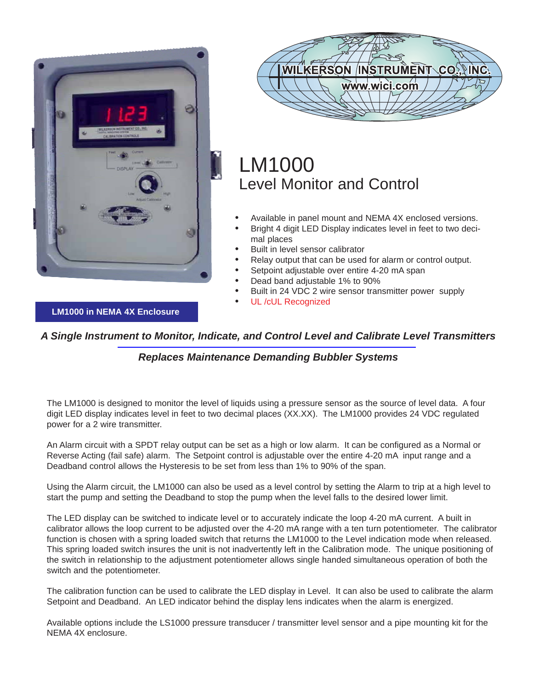



# LM1000 Level Monitor and Control

- Available in panel mount and NEMA 4X enclosed versions.
- Bright 4 digit LED Display indicates level in feet to two decimal places
- Built in level sensor calibrator
- Relay output that can be used for alarm or control output.
- Setpoint adjustable over entire 4-20 mA span
- Dead band adjustable 1% to 90%
- Built in 24 VDC 2 wire sensor transmitter power supply
- UL /cUL Recognized

 **LM1000 in NEMA 4X Enclosure**

## *A Single Instrument to Monitor, Indicate, and Control Level and Calibrate Level Transmitters*

## *Replaces Maintenance Demanding Bubbler Systems*

The LM1000 is designed to monitor the level of liquids using a pressure sensor as the source of level data. A four digit LED display indicates level in feet to two decimal places (XX.XX). The LM1000 provides 24 VDC regulated power for a 2 wire transmitter.

An Alarm circuit with a SPDT relay output can be set as a high or low alarm. It can be configured as a Normal or Reverse Acting (fail safe) alarm. The Setpoint control is adjustable over the entire 4-20 mA input range and a Deadband control allows the Hysteresis to be set from less than 1% to 90% of the span.

Using the Alarm circuit, the LM1000 can also be used as a level control by setting the Alarm to trip at a high level to start the pump and setting the Deadband to stop the pump when the level falls to the desired lower limit.

The LED display can be switched to indicate level or to accurately indicate the loop 4-20 mA current. A built in calibrator allows the loop current to be adjusted over the 4-20 mA range with a ten turn potentiometer. The calibrator function is chosen with a spring loaded switch that returns the LM1000 to the Level indication mode when released. This spring loaded switch insures the unit is not inadvertently left in the Calibration mode. The unique positioning of the switch in relationship to the adjustment potentiometer allows single handed simultaneous operation of both the switch and the potentiometer.

The calibration function can be used to calibrate the LED display in Level. It can also be used to calibrate the alarm Setpoint and Deadband. An LED indicator behind the display lens indicates when the alarm is energized.

Available options include the LS1000 pressure transducer / transmitter level sensor and a pipe mounting kit for the NEMA 4X enclosure.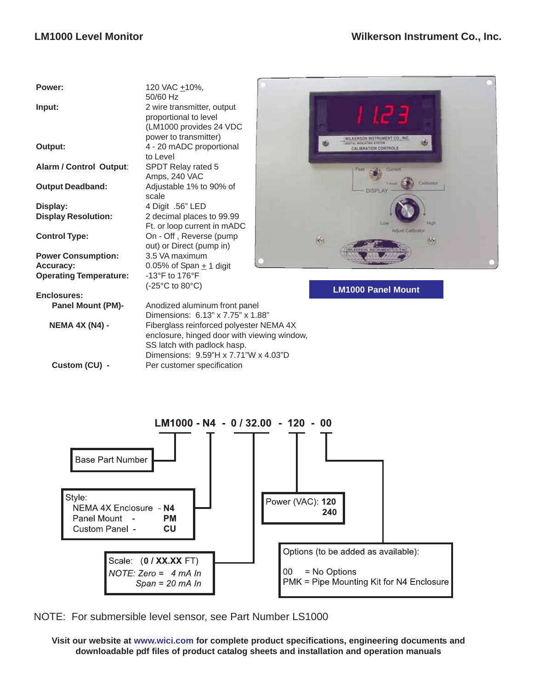| Power:                        | 120 VAC +10%,                               |  |                                                                     |                          |  |
|-------------------------------|---------------------------------------------|--|---------------------------------------------------------------------|--------------------------|--|
|                               | $50/60$ Hz                                  |  |                                                                     |                          |  |
| Input:                        | 2 wire transmitter, output                  |  |                                                                     |                          |  |
|                               | proportional to level                       |  |                                                                     |                          |  |
|                               | (LM1000 provides 24 VDC                     |  |                                                                     |                          |  |
|                               | power to transmitter)                       |  | WILKERSON INSTRUMENT CO., INC.                                      |                          |  |
| Output:                       | 4 - 20 mADC proportional                    |  | <b>Inc. Senior a Treed Britisher</b><br><b>CALISRATION CONTROLS</b> |                          |  |
|                               | to Level                                    |  |                                                                     |                          |  |
| Alarm / Control Output:       | SPDT Relay rated 5                          |  |                                                                     |                          |  |
|                               | Amps, 240 VAC                               |  |                                                                     | Current                  |  |
|                               |                                             |  |                                                                     | Californitor             |  |
| <b>Output Deadband:</b>       | Adjustable 1% to 90% of                     |  | <b>DISPLAY</b>                                                      |                          |  |
|                               | scale                                       |  |                                                                     |                          |  |
| Display:                      | 4 Digit .56" LED                            |  |                                                                     |                          |  |
| <b>Display Resolution:</b>    | 2 decimal places to 99.99                   |  |                                                                     | <b>LOW</b><br>High       |  |
|                               | Ft. or loop current in mADC                 |  |                                                                     | <b>Adjust Calibrator</b> |  |
| <b>Control Type:</b>          | On - Off, Reverse (pump                     |  |                                                                     | м                        |  |
|                               | out) or Direct (pump in)                    |  |                                                                     |                          |  |
| <b>Power Consumption:</b>     | 3.5 VA maximum                              |  |                                                                     |                          |  |
| Accuracy:                     | 0.05% of Span $\pm$ 1 digit                 |  |                                                                     |                          |  |
| <b>Operating Temperature:</b> | -13 $\degree$ F to 176 $\degree$ F          |  |                                                                     |                          |  |
|                               | $(-25^{\circ}C \text{ to } 80^{\circ}C)$    |  | <b>LM1000 Panel Mount</b>                                           |                          |  |
| Enclosures:                   |                                             |  |                                                                     |                          |  |
| <b>Panel Mount (PM)-</b>      | Anodized aluminum front panel               |  |                                                                     |                          |  |
|                               | Dimensions: 6.13" x 7.75" x 1.88"           |  |                                                                     |                          |  |
| <b>NEMA 4X (N4) -</b>         | Fiberglass reinforced polyester NEMA 4X     |  |                                                                     |                          |  |
|                               | enclosure, hinged door with viewing window, |  |                                                                     |                          |  |
|                               | SS latch with padlock hasp.                 |  |                                                                     |                          |  |
|                               | Dimensions: 9.59"H x 7.71"W x 4.03"D        |  |                                                                     |                          |  |
| Custom (CU) -                 | Per customer specification                  |  |                                                                     |                          |  |
|                               |                                             |  |                                                                     |                          |  |



NOTE: For submersible level sensor, see Part Number LS1000

**Visit our website at www.wici.com for complete product specifications, engineering documents and downloadable pdf files of product catalog sheets and installation and operation manuals**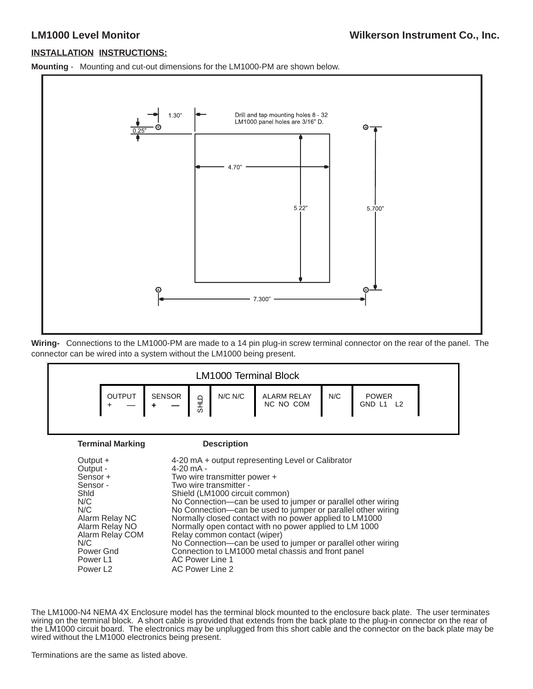#### **LM1000 Level Monitor**

#### **INSTALLATION INSTRUCTIONS:**

**Mounting** - Mounting and cut-out dimensions for the LM1000-PM are shown below.



**Wiring-** Connections to the LM1000-PM are made to a 14 pin plug-in screw terminal connector on the rear of the panel. The connector can be wired into a system without the LM1000 being present.



The LM1000-N4 NEMA 4X Enclosure model has the terminal block mounted to the enclosure back plate. The user terminates wiring on the terminal block. A short cable is provided that extends from the back plate to the plug-in connector on the rear of the LM1000 circuit board. The electronics may be unplugged from this short cable and the connector on the back plate may be wired without the LM1000 electronics being present.

Terminations are the same as listed above.